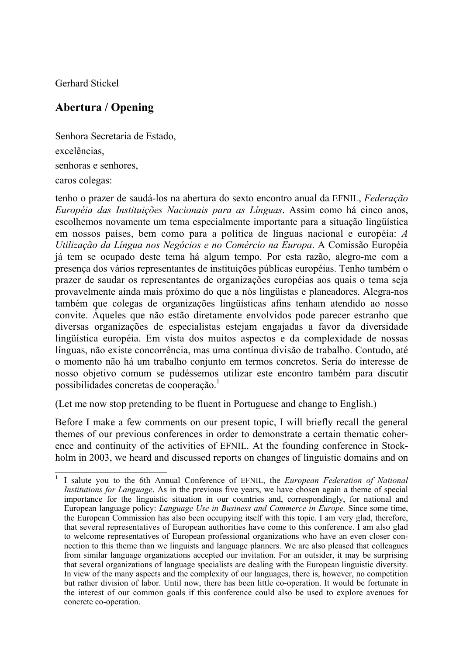Gerhard Stickel

## **Abertura / Opening**

Senhora Secretaria de Estado, excelências, senhoras e senhores, caros colegas:

tenho o prazer de saudá-los na abertura do sexto encontro anual da EFNIL, *Federação Européia das Instituições Nacionais para as Línguas*. Assim como há cinco anos, escolhemos novamente um tema especialmente importante para a situação lingüística em nossos países, bem como para a política de línguas nacional e européia: *A Utilização da Língua nos Negócios e no Comércio na Europa*. A Comissão Européia já tem se ocupado deste tema há algum tempo. Por esta razão, alegro-me com a presença dos vários representantes de instituições públicas européias. Tenho também o prazer de saudar os representantes de organizações européias aos quais o tema seja provavelmente ainda mais próximo do que a nós lingüistas e planeadores. Alegra-nos também que colegas de organizações lingüísticas afins tenham atendido ao nosso convite. Àqueles que não estão diretamente envolvidos pode parecer estranho que diversas organizações de especialistas estejam engajadas a favor da diversidade lingüística européia. Em vista dos muitos aspectos e da complexidade de nossas línguas, não existe concorrência, mas uma contínua divisão de trabalho. Contudo, até o momento não há um trabalho conjunto em termos concretos. Seria do interesse de nosso objetivo comum se pudéssemos utilizar este encontro também para discutir possibilidades concretas de cooperação.<sup>1</sup>

(Let me now stop pretending to be fluent in Portuguese and change to English.)

Before I make a few comments on our present topic, I will briefly recall the general themes of our previous conferences in order to demonstrate a certain thematic coherence and continuity of the activities of EFNIL. At the founding conference in Stockholm in 2003, we heard and discussed reports on changes of linguistic domains and on

 $\overline{\phantom{a}}$ <sup>1</sup> I salute you to the 6th Annual Conference of EFNIL, the *European Federation of National Institutions for Language*. As in the previous five years, we have chosen again a theme of special importance for the linguistic situation in our countries and, correspondingly, for national and European language policy: *Language Use in Business and Commerce in Europe.* Since some time, the European Commission has also been occupying itself with this topic. I am very glad, therefore, that several representatives of European authorities have come to this conference. I am also glad to welcome representatives of European professional organizations who have an even closer connection to this theme than we linguists and language planners. We are also pleased that colleagues from similar language organizations accepted our invitation. For an outsider, it may be surprising that several organizations of language specialists are dealing with the European linguistic diversity. In view of the many aspects and the complexity of our languages, there is, however, no competition but rather division of labor. Until now, there has been little co-operation. It would be fortunate in the interest of our common goals if this conference could also be used to explore avenues for concrete co-operation.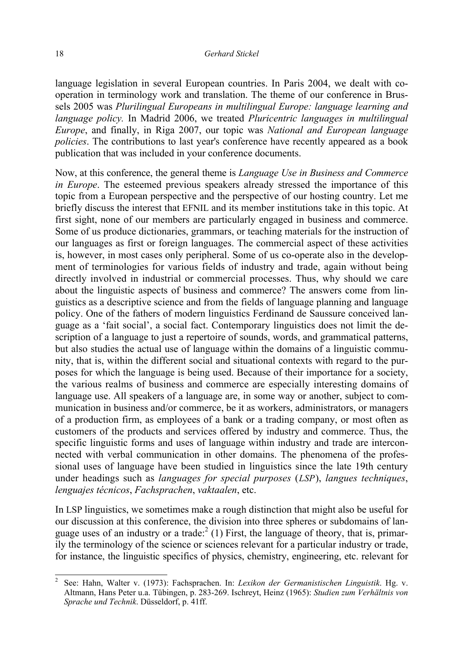language legislation in several European countries. In Paris 2004, we dealt with cooperation in terminology work and translation. The theme of our conference in Brussels 2005 was *Plurilingual Europeans in multilingual Europe: language learning and language policy.* In Madrid 2006, we treated *Pluricentric languages in multilingual Europe*, and finally, in Riga 2007, our topic was *National and European language policies*. The contributions to last year's conference have recently appeared as a book publication that was included in your conference documents.

Now, at this conference, the general theme is *Language Use in Business and Commerce in Europe*. The esteemed previous speakers already stressed the importance of this topic from a European perspective and the perspective of our hosting country. Let me briefly discuss the interest that EFNIL and its member institutions take in this topic. At first sight, none of our members are particularly engaged in business and commerce. Some of us produce dictionaries, grammars, or teaching materials for the instruction of our languages as first or foreign languages. The commercial aspect of these activities is, however, in most cases only peripheral. Some of us co-operate also in the development of terminologies for various fields of industry and trade, again without being directly involved in industrial or commercial processes. Thus, why should we care about the linguistic aspects of business and commerce? The answers come from linguistics as a descriptive science and from the fields of language planning and language policy. One of the fathers of modern linguistics Ferdinand de Saussure conceived language as a 'fait social', a social fact. Contemporary linguistics does not limit the description of a language to just a repertoire of sounds, words, and grammatical patterns, but also studies the actual use of language within the domains of a linguistic community, that is, within the different social and situational contexts with regard to the purposes for which the language is being used. Because of their importance for a society, the various realms of business and commerce are especially interesting domains of language use. All speakers of a language are, in some way or another, subject to communication in business and/or commerce, be it as workers, administrators, or managers of a production firm, as employees of a bank or a trading company, or most often as customers of the products and services offered by industry and commerce. Thus, the specific linguistic forms and uses of language within industry and trade are interconnected with verbal communication in other domains. The phenomena of the professional uses of language have been studied in linguistics since the late 19th century under headings such as *languages for special purposes* (*LSP*), *langues techniques*, *lenguajes técnicos*, *Fachsprachen*, *vaktaalen*, etc.

In LSP linguistics, we sometimes make a rough distinction that might also be useful for our discussion at this conference, the division into three spheres or subdomains of language uses of an industry or a trade:  $2(1)$  First, the language of theory, that is, primarily the terminology of the science or sciences relevant for a particular industry or trade, for instance, the linguistic specifics of physics, chemistry, engineering, etc. relevant for

 $\overline{\phantom{a}}$ 

<sup>2</sup> See: Hahn, Walter v. (1973): Fachsprachen. In: *Lexikon der Germanistischen Linguistik*. Hg. v. Altmann, Hans Peter u.a. Tübingen, p. 283-269. Ischreyt, Heinz (1965): *Studien zum Verhältnis von Sprache und Technik*. Düsseldorf, p. 41ff.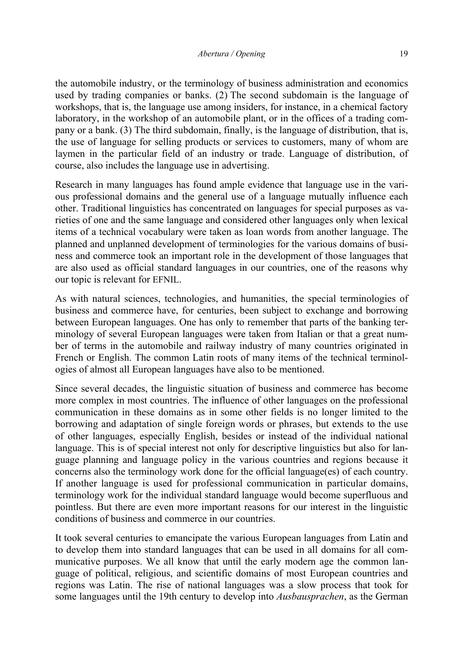the automobile industry, or the terminology of business administration and economics used by trading companies or banks. (2) The second subdomain is the language of workshops, that is, the language use among insiders, for instance, in a chemical factory laboratory, in the workshop of an automobile plant, or in the offices of a trading company or a bank. (3) The third subdomain, finally, is the language of distribution, that is, the use of language for selling products or services to customers, many of whom are laymen in the particular field of an industry or trade. Language of distribution, of course, also includes the language use in advertising.

Research in many languages has found ample evidence that language use in the various professional domains and the general use of a language mutually influence each other. Traditional linguistics has concentrated on languages for special purposes as varieties of one and the same language and considered other languages only when lexical items of a technical vocabulary were taken as loan words from another language. The planned and unplanned development of terminologies for the various domains of business and commerce took an important role in the development of those languages that are also used as official standard languages in our countries, one of the reasons why our topic is relevant for EFNIL.

As with natural sciences, technologies, and humanities, the special terminologies of business and commerce have, for centuries, been subject to exchange and borrowing between European languages. One has only to remember that parts of the banking terminology of several European languages were taken from Italian or that a great number of terms in the automobile and railway industry of many countries originated in French or English. The common Latin roots of many items of the technical terminologies of almost all European languages have also to be mentioned.

Since several decades, the linguistic situation of business and commerce has become more complex in most countries. The influence of other languages on the professional communication in these domains as in some other fields is no longer limited to the borrowing and adaptation of single foreign words or phrases, but extends to the use of other languages, especially English, besides or instead of the individual national language. This is of special interest not only for descriptive linguistics but also for language planning and language policy in the various countries and regions because it concerns also the terminology work done for the official language(es) of each country. If another language is used for professional communication in particular domains, terminology work for the individual standard language would become superfluous and pointless. But there are even more important reasons for our interest in the linguistic conditions of business and commerce in our countries.

It took several centuries to emancipate the various European languages from Latin and to develop them into standard languages that can be used in all domains for all communicative purposes. We all know that until the early modern age the common language of political, religious, and scientific domains of most European countries and regions was Latin. The rise of national languages was a slow process that took for some languages until the 19th century to develop into *Ausbausprachen*, as the German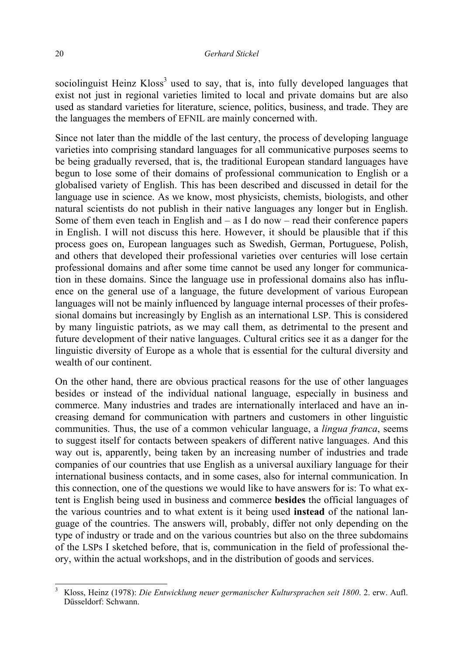## 20 *Gerhard Stickel*

sociolinguist Heinz Kloss<sup>3</sup> used to say, that is, into fully developed languages that exist not just in regional varieties limited to local and private domains but are also used as standard varieties for literature, science, politics, business, and trade. They are the languages the members of EFNIL are mainly concerned with.

Since not later than the middle of the last century, the process of developing language varieties into comprising standard languages for all communicative purposes seems to be being gradually reversed, that is, the traditional European standard languages have begun to lose some of their domains of professional communication to English or a globalised variety of English. This has been described and discussed in detail for the language use in science. As we know, most physicists, chemists, biologists, and other natural scientists do not publish in their native languages any longer but in English. Some of them even teach in English and  $-$  as I do now  $-$  read their conference papers in English. I will not discuss this here. However, it should be plausible that if this process goes on, European languages such as Swedish, German, Portuguese, Polish, and others that developed their professional varieties over centuries will lose certain professional domains and after some time cannot be used any longer for communication in these domains. Since the language use in professional domains also has influence on the general use of a language, the future development of various European languages will not be mainly influenced by language internal processes of their professional domains but increasingly by English as an international LSP. This is considered by many linguistic patriots, as we may call them, as detrimental to the present and future development of their native languages. Cultural critics see it as a danger for the linguistic diversity of Europe as a whole that is essential for the cultural diversity and wealth of our continent.

On the other hand, there are obvious practical reasons for the use of other languages besides or instead of the individual national language, especially in business and commerce. Many industries and trades are internationally interlaced and have an increasing demand for communication with partners and customers in other linguistic communities. Thus, the use of a common vehicular language, a *lingua franca*, seems to suggest itself for contacts between speakers of different native languages. And this way out is, apparently, being taken by an increasing number of industries and trade companies of our countries that use English as a universal auxiliary language for their international business contacts, and in some cases, also for internal communication. In this connection, one of the questions we would like to have answers for is: To what extent is English being used in business and commerce **besides** the official languages of the various countries and to what extent is it being used **instead** of the national language of the countries. The answers will, probably, differ not only depending on the type of industry or trade and on the various countries but also on the three subdomains of the LSPs I sketched before, that is, communication in the field of professional theory, within the actual workshops, and in the distribution of goods and services.

 $\overline{\phantom{a}}$ 

<sup>3</sup> Kloss, Heinz (1978): *Die Entwicklung neuer germanischer Kultursprachen seit 1800*. 2. erw. Aufl. Düsseldorf: Schwann.